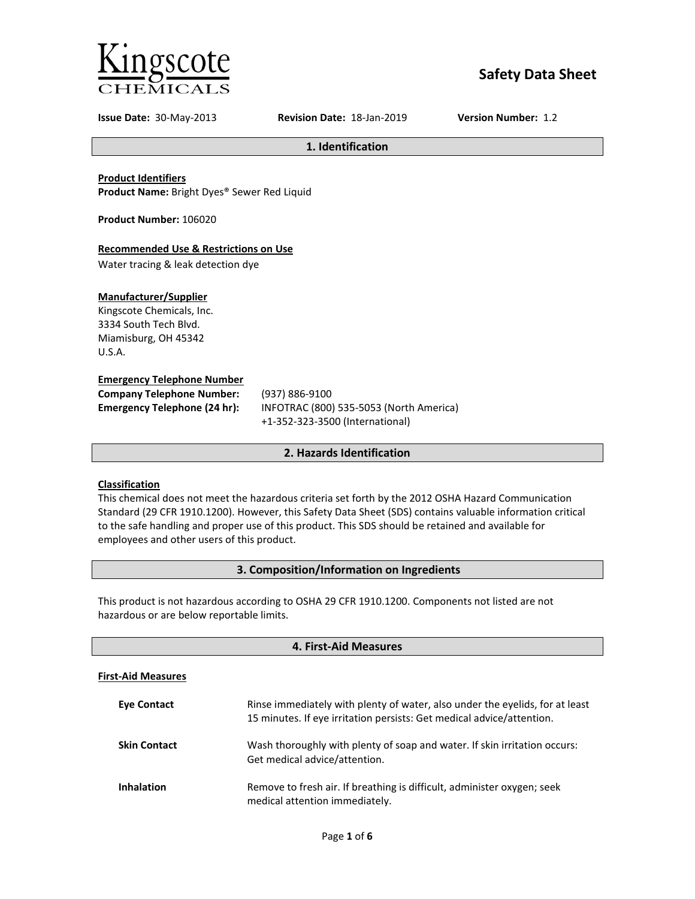

# **Safety Data Sheet**

**Issue Date:** 30-May-2013 **Revision Date:** 18-Jan-2019 **Version Number:** 1.2

**1. Identification**

**Product Identifiers**

**Product Name:** Bright Dyes® Sewer Red Liquid

**Product Number:** 106020

## **Recommended Use & Restrictions on Use**

Water tracing & leak detection dye

## **Manufacturer/Supplier**

Kingscote Chemicals, Inc. 3334 South Tech Blvd. Miamisburg, OH 45342 U.S.A.

## **Emergency Telephone Number**

| <b>Company Telephone Number:</b> | (93)       |
|----------------------------------|------------|
| Emergency Telephone (24 hr):     | <b>INF</b> |
|                                  |            |

**Company Telephone Number:** (937) 886-9100 **Emergency Telephone (24 hr):** INFOTRAC (800) 535-5053 (North America) +1-352-323-3500 (International)

## **2. Hazards Identification**

## **Classification**

This chemical does not meet the hazardous criteria set forth by the 2012 OSHA Hazard Communication Standard (29 CFR 1910.1200). However, this Safety Data Sheet (SDS) contains valuable information critical to the safe handling and proper use of this product. This SDS should be retained and available for employees and other users of this product.

## **3. Composition/Information on Ingredients**

This product is not hazardous according to OSHA 29 CFR 1910.1200. Components not listed are not hazardous or are below reportable limits.

| 4. First-Aid Measures     |                                                                                                                                                       |  |  |
|---------------------------|-------------------------------------------------------------------------------------------------------------------------------------------------------|--|--|
| <b>First-Aid Measures</b> |                                                                                                                                                       |  |  |
| <b>Eve Contact</b>        | Rinse immediately with plenty of water, also under the eyelids, for at least<br>15 minutes. If eye irritation persists: Get medical advice/attention. |  |  |
| <b>Skin Contact</b>       | Wash thoroughly with plenty of soap and water. If skin irritation occurs:<br>Get medical advice/attention.                                            |  |  |
| <b>Inhalation</b>         | Remove to fresh air. If breathing is difficult, administer oxygen; seek<br>medical attention immediately.                                             |  |  |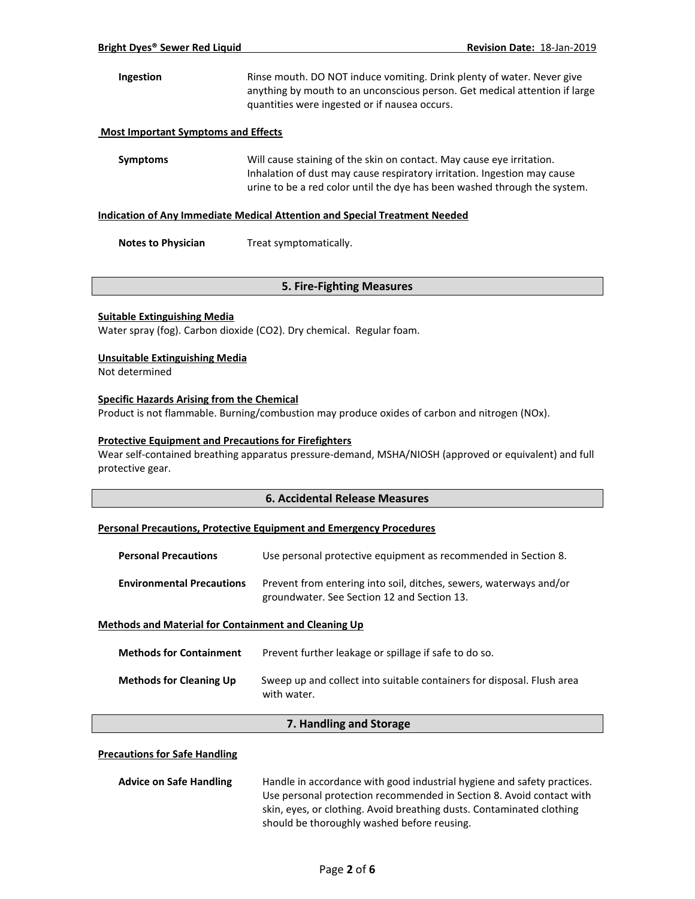## **Ingestion** Rinse mouth. DO NOT induce vomiting. Drink plenty of water. Never give anything by mouth to an unconscious person. Get medical attention if large quantities were ingested or if nausea occurs.

#### **Most Important Symptoms and Effects**

**Symptoms** Will cause staining of the skin on contact. May cause eye irritation. Inhalation of dust may cause respiratory irritation. Ingestion may cause urine to be a red color until the dye has been washed through the system.

#### **Indication of Any Immediate Medical Attention and Special Treatment Needed**

**Notes to Physician** Treat symptomatically.

## **5. Fire-Fighting Measures**

#### **Suitable Extinguishing Media**

Water spray (fog). Carbon dioxide (CO2). Dry chemical. Regular foam.

#### **Unsuitable Extinguishing Media**

Not determined

#### **Specific Hazards Arising from the Chemical**

Product is not flammable. Burning/combustion may produce oxides of carbon and nitrogen (NOx).

## **Protective Equipment and Precautions for Firefighters**

Wear self-contained breathing apparatus pressure-demand, MSHA/NIOSH (approved or equivalent) and full protective gear.

## **6. Accidental Release Measures**

#### **Personal Precautions, Protective Equipment and Emergency Procedures**

| <b>Personal Precautions</b>      | Use personal protective equipment as recommended in Section 8.                                                    |
|----------------------------------|-------------------------------------------------------------------------------------------------------------------|
| <b>Environmental Precautions</b> | Prevent from entering into soil, ditches, sewers, waterways and/or<br>groundwater. See Section 12 and Section 13. |

#### **Methods and Material for Containment and Cleaning Up**

| <b>Methods for Containment</b> | Prevent further leakage or spillage if safe to do so.                                 |
|--------------------------------|---------------------------------------------------------------------------------------|
| <b>Methods for Cleaning Up</b> | Sweep up and collect into suitable containers for disposal. Flush area<br>with water. |

## **7. Handling and Storage**

#### **Precautions for Safe Handling**

| <b>Advice on Safe Handling</b> | Handle in accordance with good industrial hygiene and safety practices. |  |
|--------------------------------|-------------------------------------------------------------------------|--|
|                                | Use personal protection recommended in Section 8. Avoid contact with    |  |
|                                | skin, eyes, or clothing. Avoid breathing dusts. Contaminated clothing   |  |
|                                | should be thoroughly washed before reusing.                             |  |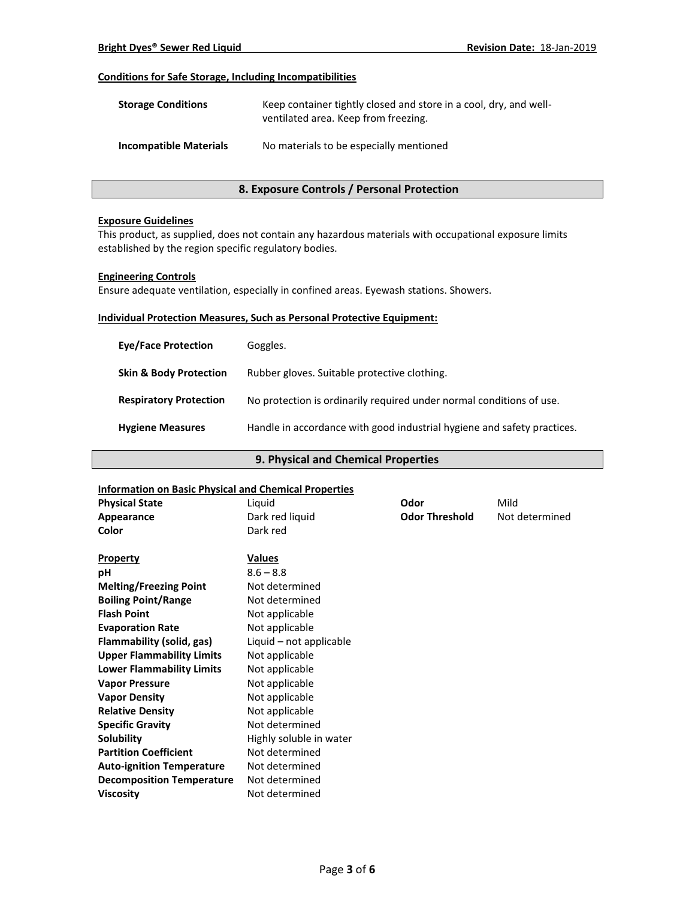#### **Conditions for Safe Storage, Including Incompatibilities**

| <b>Storage Conditions</b>     | Keep container tightly closed and store in a cool, dry, and well-<br>ventilated area. Keep from freezing. |  |
|-------------------------------|-----------------------------------------------------------------------------------------------------------|--|
| <b>Incompatible Materials</b> | No materials to be especially mentioned                                                                   |  |

## **8. Exposure Controls / Personal Protection**

#### **Exposure Guidelines**

This product, as supplied, does not contain any hazardous materials with occupational exposure limits established by the region specific regulatory bodies.

#### **Engineering Controls**

Ensure adequate ventilation, especially in confined areas. Eyewash stations. Showers.

#### **Individual Protection Measures, Such as Personal Protective Equipment:**

| <b>Eye/Face Protection</b>        | Goggles.                                                                |
|-----------------------------------|-------------------------------------------------------------------------|
| <b>Skin &amp; Body Protection</b> | Rubber gloves. Suitable protective clothing.                            |
| <b>Respiratory Protection</b>     | No protection is ordinarily required under normal conditions of use.    |
| <b>Hygiene Measures</b>           | Handle in accordance with good industrial hygiene and safety practices. |

#### **9. Physical and Chemical Properties**

## **Information on Basic Physical and Chemical Properties Physical State** Liquid **Odor** Mild **Appearance** Dark red liquid **Odor Threshold** Not determined **Color** Dark red **Property Values pH** 8.6 – 8.8 **Melting/Freezing Point** Not determined **Boiling Point/Range** Not determined **Flash Point** Not applicable **Evaporation Rate Not applicable Flammability (solid, gas)** Liquid – not applicable **Upper Flammability Limits** Not applicable **Lower Flammability Limits** Not applicable **Vapor Pressure** Not applicable **Vapor Density Not applicable Relative Density Not applicable Specific Gravity** Not determined **Solubility** Highly soluble in water **Partition Coefficient** Not determined Auto-ignition Temperature Not determined **Decomposition Temperature** Not determined **Viscosity** Not determined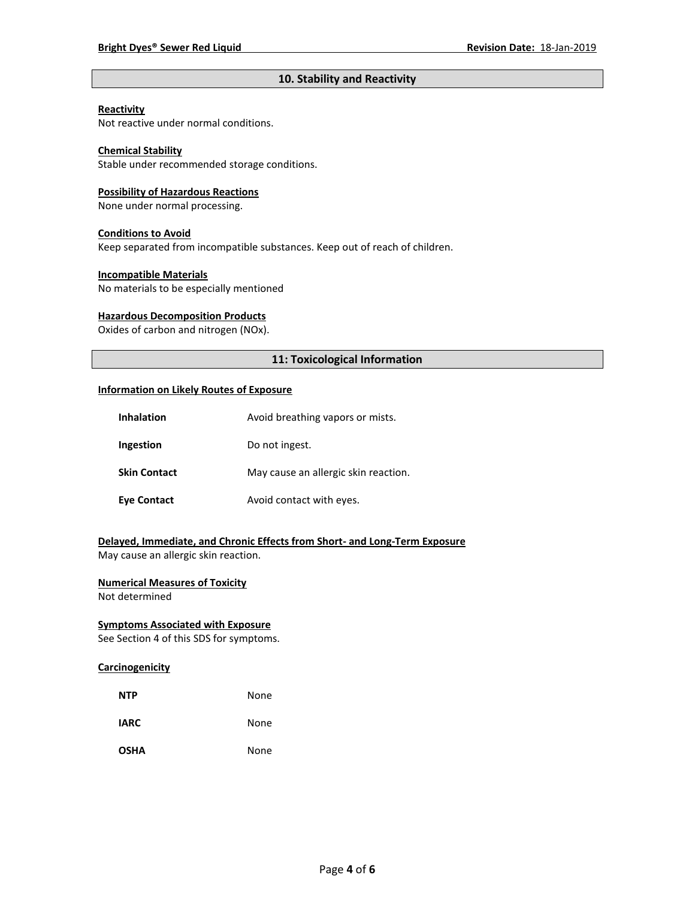## **10. Stability and Reactivity**

#### **Reactivity**

Not reactive under normal conditions.

## **Chemical Stability**

Stable under recommended storage conditions.

#### **Possibility of Hazardous Reactions**

None under normal processing.

#### **Conditions to Avoid**

Keep separated from incompatible substances. Keep out of reach of children.

#### **Incompatible Materials**

No materials to be especially mentioned

#### **Hazardous Decomposition Products**

Oxides of carbon and nitrogen (NOx).

## **11: Toxicological Information**

#### **Information on Likely Routes of Exposure**

| <b>Inhalation</b>   | Avoid breathing vapors or mists.     |  |
|---------------------|--------------------------------------|--|
| Ingestion           | Do not ingest.                       |  |
| <b>Skin Contact</b> | May cause an allergic skin reaction. |  |
| <b>Eye Contact</b>  | Avoid contact with eyes.             |  |

**Delayed, Immediate, and Chronic Effects from Short- and Long-Term Exposure** May cause an allergic skin reaction.

## **Numerical Measures of Toxicity**

Not determined

## **Symptoms Associated with Exposure**

See Section 4 of this SDS for symptoms.

## **Carcinogenicity**

| <b>NTP</b>  | None |
|-------------|------|
| <b>IARC</b> | None |
| <b>OSHA</b> | None |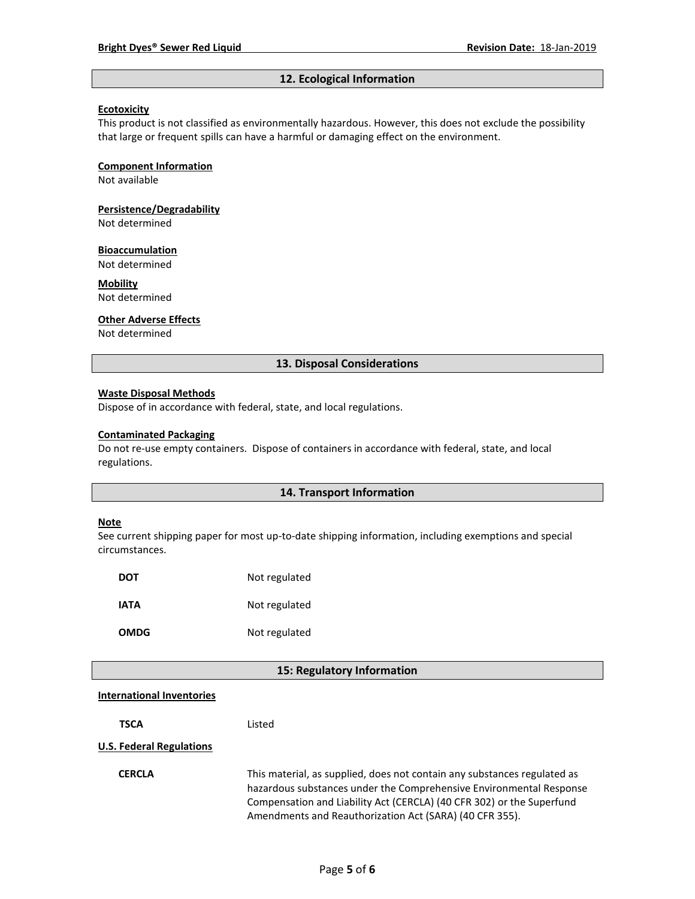#### **12. Ecological Information**

#### **Ecotoxicity**

This product is not classified as environmentally hazardous. However, this does not exclude the possibility that large or frequent spills can have a harmful or damaging effect on the environment.

#### **Component Information**

Not available

# **Persistence/Degradability**

Not determined

#### **Bioaccumulation**

Not determined

## **Mobility**

Not determined

#### **Other Adverse Effects**

Not determined

#### **13. Disposal Considerations**

#### **Waste Disposal Methods**

Dispose of in accordance with federal, state, and local regulations.

#### **Contaminated Packaging**

Do not re-use empty containers.Dispose of containers in accordance with federal, state, and local regulations.

#### **14. Transport Information**

#### **Note**

See current shipping paper for most up-to-date shipping information, including exemptions and special circumstances.

| DOT         | Not regulated |
|-------------|---------------|
| IATA        | Not regulated |
| <b>OMDG</b> | Not regulated |

#### **15: Regulatory Information**

#### **International Inventories**

**TSCA** Listed

## **U.S. Federal Regulations**

**CERCLA** This material, as supplied, does not contain any substances regulated as hazardous substances under the Comprehensive Environmental Response Compensation and Liability Act (CERCLA) (40 CFR 302) or the Superfund Amendments and Reauthorization Act (SARA) (40 CFR 355).